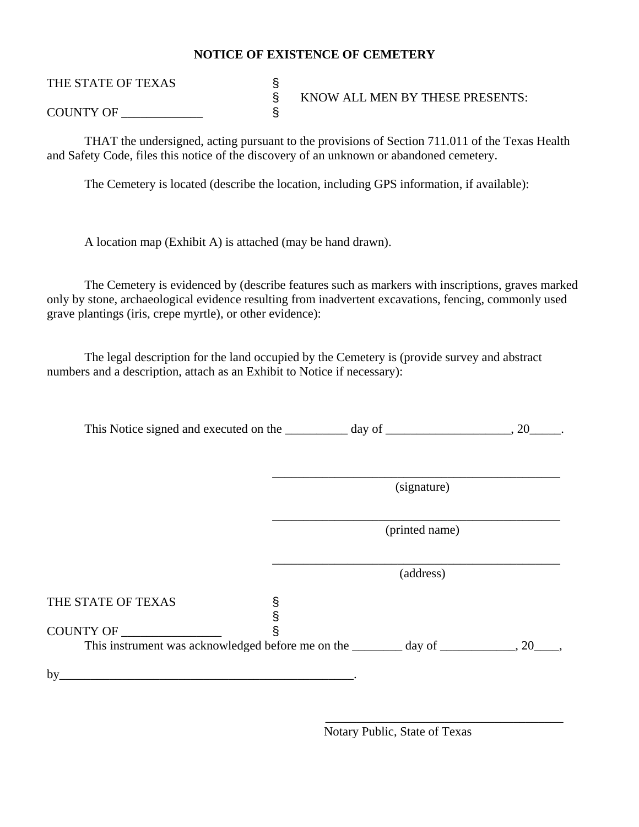## **NOTICE OF EXISTENCE OF CEMETERY**

## THE STATE OF TEXAS § § KNOW ALL MEN BY THESE PRESENTS: COUNTY OF \_\_\_\_\_\_\_\_\_\_\_\_\_ §

 THAT the undersigned, acting pursuant to the provisions of Section 711.011 of the Texas Health and Safety Code, files this notice of the discovery of an unknown or abandoned cemetery.

The Cemetery is located (describe the location, including GPS information, if available):

A location map (Exhibit A) is attached (may be hand drawn).

The Cemetery is evidenced by (describe features such as markers with inscriptions, graves marked only by stone, archaeological evidence resulting from inadvertent excavations, fencing, commonly used grave plantings (iris, crepe myrtle), or other evidence):

The legal description for the land occupied by the Cemetery is (provide survey and abstract numbers and a description, attach as an Exhibit to Notice if necessary):

This Notice signed and executed on the \_\_\_\_\_\_\_\_\_\_ day of \_\_\_\_\_\_\_\_\_\_\_\_\_\_\_\_\_\_\_\_, 20\_\_\_\_\_.

|                                                                                         | (signature)    |  |
|-----------------------------------------------------------------------------------------|----------------|--|
|                                                                                         | (printed name) |  |
|                                                                                         | (address)      |  |
| THE STATE OF TEXAS                                                                      |                |  |
| COUNTY OF ______________                                                                |                |  |
| This instrument was acknowledged before me on the ________ day of ____________, 20____, |                |  |

 $\overline{\phantom{a}}$  , which is a set of the set of the set of the set of the set of the set of the set of the set of the set of the set of the set of the set of the set of the set of the set of the set of the set of the set of th

Notary Public, State of Texas